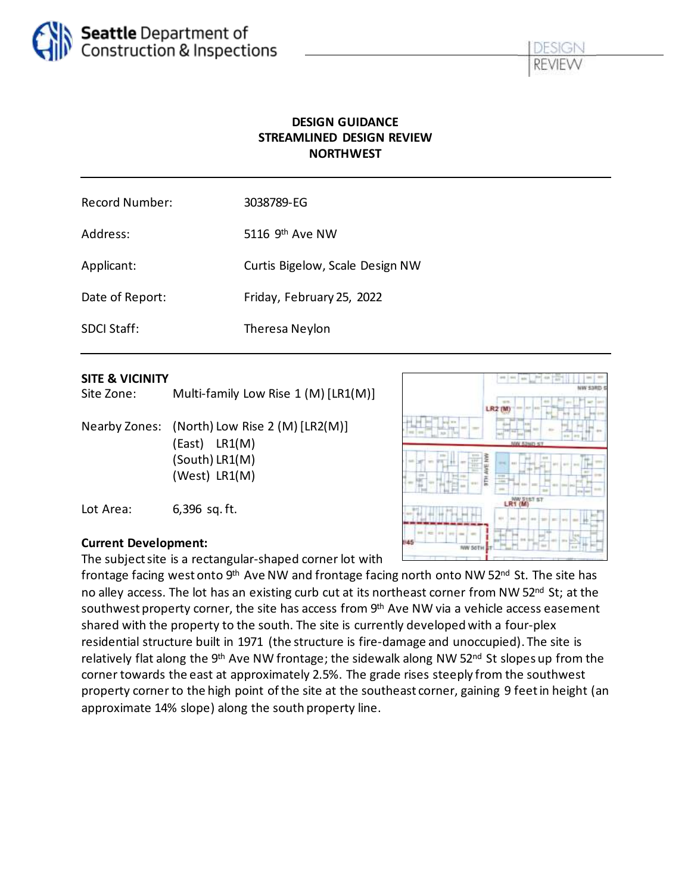

### **DESIGN GUIDANCE STREAMLINED DESIGN REVIEW NORTHWEST**

| <b>Record Number:</b> | 3038789-EG                      |
|-----------------------|---------------------------------|
| Address:              | 5116 $9th$ Ave NW               |
| Applicant:            | Curtis Bigelow, Scale Design NW |
| Date of Report:       | Friday, February 25, 2022       |
| <b>SDCI Staff:</b>    | Theresa Neylon                  |

#### **SITE & VICINITY**

Site Zone: Multi-family Low Rise 1 (M) [LR1(M)]

Nearby Zones: (North) Low Rise 2 (M) [LR2(M)] (East) LR1(M) (South) LR1(M) (West) LR1(M)

Lot Area: 6,396 sq. ft.

#### **Current Development:**

The subject site is a rectangular-shaped corner lot with

frontage facing west onto 9<sup>th</sup> Ave NW and frontage facing north onto NW 52<sup>nd</sup> St. The site has no alley access. The lot has an existing curb cut at its northeast corner from NW 52<sup>nd</sup> St; at the southwest property corner, the site has access from  $9<sup>th</sup>$  Ave NW via a vehicle access easement shared with the property to the south. The site is currently developed with a four-plex residential structure built in 1971 (the structure is fire-damage and unoccupied). The site is relatively flat along the 9<sup>th</sup> Ave NW frontage; the sidewalk along NW 52<sup>nd</sup> St slopes up from the corner towards the east at approximately 2.5%. The grade rises steeply from the southwest property corner to the high point of the site at the southeast corner, gaining 9 feet in height (an approximate 14% slope) along the south property line.

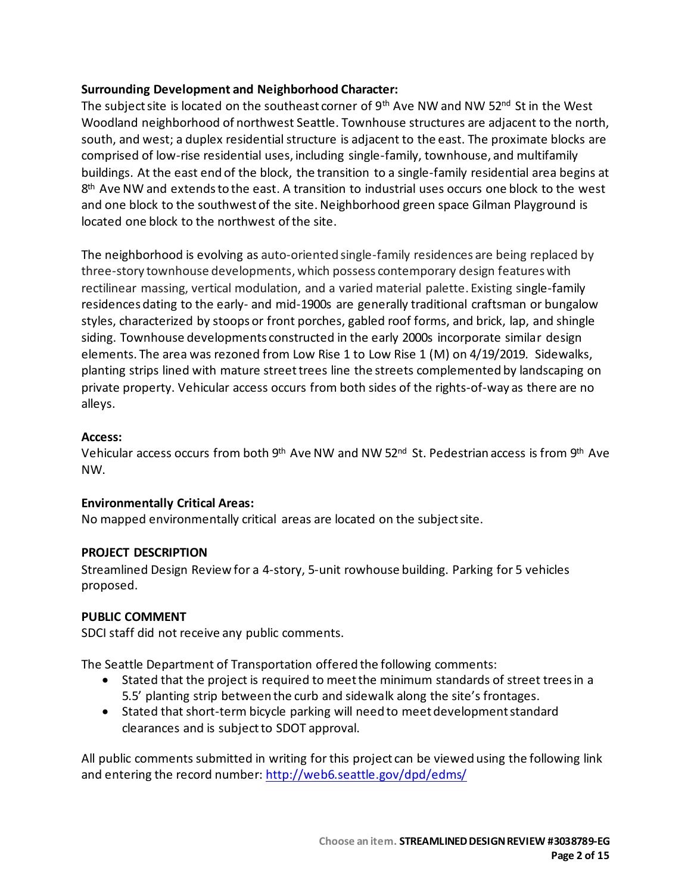#### **Surrounding Development and Neighborhood Character:**

The subject site is located on the southeast corner of 9<sup>th</sup> Ave NW and NW 52<sup>nd</sup> St in the West Woodland neighborhood of northwest Seattle. Townhouse structures are adjacent to the north, south, and west; a duplex residential structure is adjacent to the east. The proximate blocks are comprised of low-rise residential uses, including single-family, townhouse, and multifamily buildings. At the east end of the block, the transition to a single-family residential area begins at 8 th Ave NW and extends to the east. A transition to industrial uses occurs one block to the west and one block to the southwest of the site. Neighborhood green space Gilman Playground is located one block to the northwest of the site.

The neighborhood is evolving as auto-oriented single-family residences are being replaced by three-story townhouse developments, which possess contemporary design features with rectilinear massing, vertical modulation, and a varied material palette. Existing single-family residences dating to the early- and mid-1900s are generally traditional craftsman or bungalow styles, characterized by stoops or front porches, gabled roof forms, and brick, lap, and shingle siding. Townhouse developments constructed in the early 2000s incorporate similar design elements. The area was rezoned from Low Rise 1 to Low Rise 1 (M) on 4/19/2019. Sidewalks, planting strips lined with mature street trees line the streets complemented by landscaping on private property. Vehicular access occurs from both sides of the rights-of-way as there are no alleys.

#### **Access:**

Vehicular access occurs from both 9<sup>th</sup> Ave NW and NW 52<sup>nd</sup> St. Pedestrian access is from 9<sup>th</sup> Ave NW.

#### **Environmentally Critical Areas:**

No mapped environmentally critical areas are located on the subject site.

#### **PROJECT DESCRIPTION**

Streamlined Design Review for a 4-story, 5-unit rowhouse building. Parking for 5 vehicles proposed.

#### **PUBLIC COMMENT**

SDCI staff did not receive any public comments.

The Seattle Department of Transportation offered the following comments:

- Stated that the project is required to meet the minimum standards of street trees in a 5.5' planting strip between the curb and sidewalk along the site's frontages.
- Stated that short-term bicycle parking will need to meet development standard clearances and is subject to SDOT approval.

All public comments submitted in writing for this project can be viewed using the following link and entering the record number:<http://web6.seattle.gov/dpd/edms/>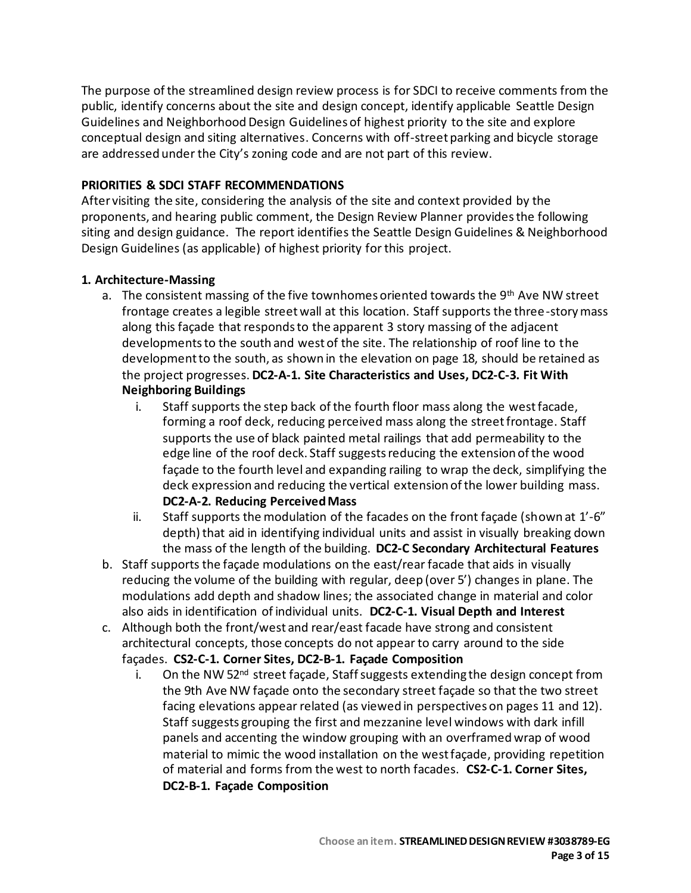The purpose of the streamlined design review process is for SDCI to receive comments from the public, identify concerns about the site and design concept, identify applicable Seattle Design Guidelines and Neighborhood Design Guidelines of highest priority to the site and explore conceptual design and siting alternatives. Concerns with off-street parking and bicycle storage are addressed under the City's zoning code and are not part of this review.

#### **PRIORITIES & SDCI STAFF RECOMMENDATIONS**

After visiting the site, considering the analysis of the site and context provided by the proponents, and hearing public comment, the Design Review Planner providesthe following siting and design guidance. The report identifies the Seattle Design Guidelines & Neighborhood Design Guidelines (as applicable) of highest priority for this project.

#### **1. Architecture-Massing**

- a. The consistent massing of the five townhomes oriented towards the 9<sup>th</sup> Ave NW street frontage creates a legible street wall at this location. Staff supports the three-story mass along this façade that responds to the apparent 3 story massing of the adjacent developments to the south and west of the site. The relationship of roof line to the development to the south, as shown in the elevation on page 18, should be retained as the project progresses. **DC2-A-1. Site Characteristics and Uses, DC2-C-3. Fit With Neighboring Buildings**
	- i. Staff supports the step back of the fourth floor mass along the west facade, forming a roof deck, reducing perceived mass along the street frontage. Staff supports the use of black painted metal railings that add permeability to the edge line of the roof deck. Staff suggests reducing the extension of the wood façade to the fourth level and expanding railing to wrap the deck, simplifying the deck expression and reducing the vertical extension of the lower building mass. **DC2-A-2. Reducing Perceived Mass**
	- ii. Staff supports the modulation of the facades on the front façade (shown at 1'-6" depth) that aid in identifying individual units and assist in visually breaking down the mass of the length of the building. **DC2-C Secondary Architectural Features**
- b. Staff supports the façade modulations on the east/rear facade that aids in visually reducing the volume of the building with regular, deep (over 5') changes in plane. The modulations add depth and shadow lines; the associated change in material and color also aids in identification of individual units. **DC2-C-1. Visual Depth and Interest**
- c. Although both the front/west and rear/east facade have strong and consistent architectural concepts, those concepts do not appear to carry around to the side façades. **CS2-C-1. Corner Sites, DC2-B-1. Façade Composition**
	- i. On the NW 52<sup>nd</sup> street façade, Staff suggests extending the design concept from the 9th Ave NW façade onto the secondary street façade so that the two street facing elevations appear related (as viewed in perspectives on pages 11 and 12). Staff suggests grouping the first and mezzanine level windows with dark infill panels and accenting the window grouping with an overframed wrap of wood material to mimic the wood installation on the west façade, providing repetition of material and forms from the west to north facades. **CS2-C-1. Corner Sites, DC2-B-1. Façade Composition**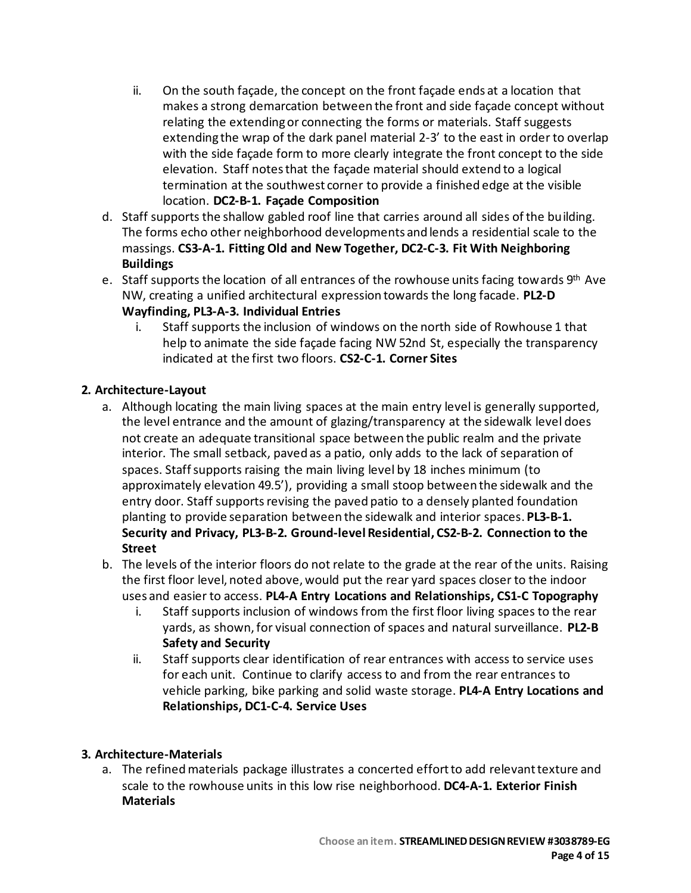- ii. On the south façade, the concept on the front façade ends at a location that makes a strong demarcation between the front and side façade concept without relating the extending or connecting the forms or materials. Staff suggests extending the wrap of the dark panel material 2-3' to the east in order to overlap with the side façade form to more clearly integrate the front concept to the side elevation. Staff notes that the façade material should extend to a logical termination at the southwest corner to provide a finished edge at the visible location. **DC2-B-1. Façade Composition**
- d. Staff supports the shallow gabled roof line that carries around all sides of the building. The forms echo other neighborhood developments and lends a residential scale to the massings. **CS3-A-1. Fitting Old and New Together, DC2-C-3. Fit With Neighboring Buildings**
- e. Staff supports the location of all entrances of the rowhouse units facing towards 9th Ave NW, creating a unified architectural expression towards the long facade. **PL2-D**

# **Wayfinding, PL3-A-3. Individual Entries**

i. Staff supports the inclusion of windows on the north side of Rowhouse 1 that help to animate the side façade facing NW 52nd St, especially the transparency indicated at the first two floors. **CS2-C-1. Corner Sites**

### **2. Architecture-Layout**

- a. Although locating the main living spaces at the main entry level is generally supported, the level entrance and the amount of glazing/transparency at the sidewalk level does not create an adequate transitional space between the public realm and the private interior. The small setback, paved as a patio, only adds to the lack of separation of spaces. Staff supports raising the main living level by 18 inches minimum (to approximately elevation 49.5'), providing a small stoop between the sidewalk and the entry door. Staff supports revising the paved patio to a densely planted foundation planting to provide separation between the sidewalk and interior spaces. **PL3-B-1. Security and Privacy, PL3-B-2. Ground-level Residential, CS2-B-2. Connection to the Street**
- b. The levels of the interior floors do not relate to the grade at the rear of the units. Raising the first floor level, noted above, would put the rear yard spaces closer to the indoor uses and easier to access. **PL4-A Entry Locations and Relationships, CS1-C Topography**
	- i. Staff supports inclusion of windows from the first floor living spaces to the rear yards, as shown, for visual connection of spaces and natural surveillance. **PL2-B Safety and Security**
	- ii. Staff supports clear identification of rear entrances with access to service uses for each unit. Continue to clarify access to and from the rear entrances to vehicle parking, bike parking and solid waste storage. **PL4-A Entry Locations and Relationships, DC1-C-4. Service Uses**

### **3. Architecture-Materials**

a. The refined materials package illustrates a concerted effort to add relevant texture and scale to the rowhouse units in this low rise neighborhood. **DC4-A-1. Exterior Finish Materials**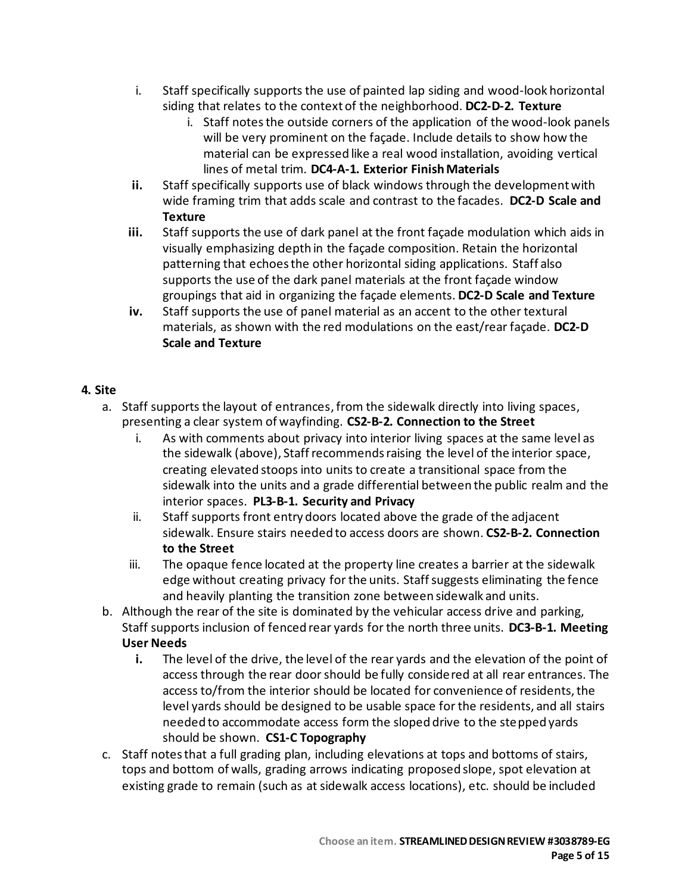- i. Staff specifically supports the use of painted lap siding and wood-look horizontal siding that relates to the context of the neighborhood. **DC2-D-2. Texture**
	- i. Staff notes the outside corners of the application of the wood-look panels will be very prominent on the façade. Include details to show how the material can be expressed like a real wood installation, avoiding vertical lines of metal trim. **DC4-A-1. Exterior Finish Materials**
- **ii.** Staff specifically supports use of black windows through the development with wide framing trim that adds scale and contrast to the facades. **DC2-D Scale and Texture**
- **iii.** Staff supports the use of dark panel at the front façade modulation which aids in visually emphasizing depth in the façade composition. Retain the horizontal patterning that echoes the other horizontal siding applications. Staff also supports the use of the dark panel materials at the front façade window groupings that aid in organizing the façade elements. **DC2-D Scale and Texture**
- **iv.** Staff supports the use of panel material as an accent to the other textural materials, as shown with the red modulations on the east/rear façade. **DC2-D Scale and Texture**

### **4. Site**

- a. Staff supports the layout of entrances, from the sidewalk directly into living spaces, presenting a clear system of wayfinding. **CS2-B-2. Connection to the Street**
	- i. As with comments about privacy into interior living spaces at the same level as the sidewalk (above), Staff recommends raising the level of the interior space, creating elevated stoops into units to create a transitional space from the sidewalk into the units and a grade differential between the public realm and the interior spaces. **PL3-B-1. Security and Privacy**
	- ii. Staff supports front entry doors located above the grade of the adjacent sidewalk. Ensure stairs needed to access doors are shown. **CS2-B-2. Connection to the Street**
	- iii. The opaque fence located at the property line creates a barrier at the sidewalk edge without creating privacy for the units. Staff suggests eliminating the fence and heavily planting the transition zone between sidewalk and units.
- b. Although the rear of the site is dominated by the vehicular access drive and parking, Staff supports inclusion of fenced rear yards for the north three units. **DC3-B-1. Meeting User Needs**
	- **i.** The level of the drive, the level of the rear yards and the elevation of the point of access through the rear door should be fully considered at all rear entrances. The access to/from the interior should be located for convenience of residents, the level yards should be designed to be usable space for the residents, and all stairs needed to accommodate access form the sloped drive to the stepped yards should be shown. **CS1-C Topography**
- c. Staff notes that a full grading plan, including elevations at tops and bottoms of stairs, tops and bottom of walls, grading arrows indicating proposed slope, spot elevation at existing grade to remain (such as at sidewalk access locations), etc. should be included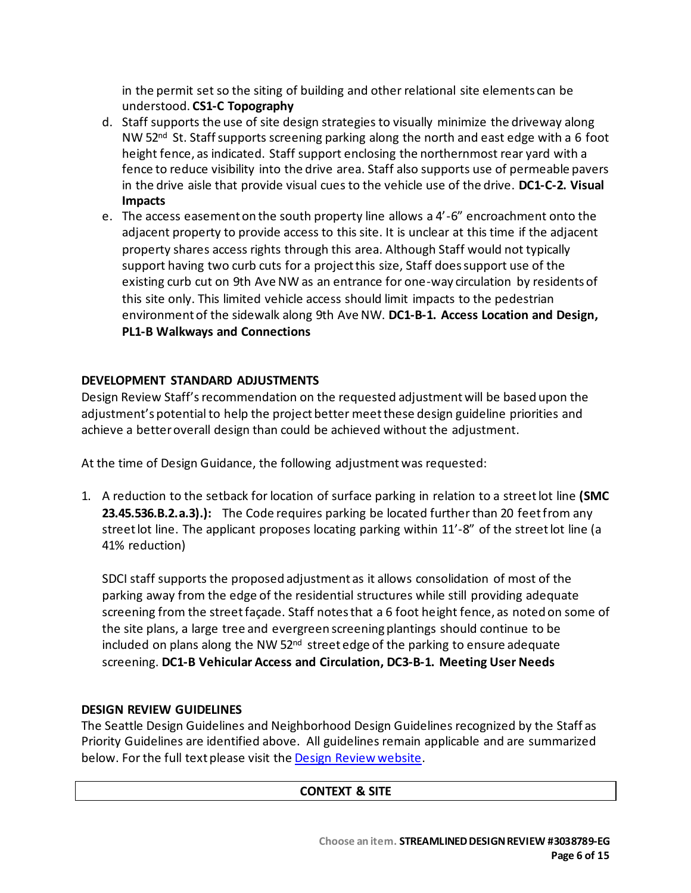in the permit set so the siting of building and other relational site elements can be understood. **CS1-C Topography**

- d. Staff supports the use of site design strategies to visually minimize the driveway along NW 52<sup>nd</sup> St. Staff supports screening parking along the north and east edge with a 6 foot height fence, as indicated. Staff support enclosing the northernmost rear yard with a fence to reduce visibility into the drive area. Staff also supports use of permeable pavers in the drive aisle that provide visual cues to the vehicle use of the drive. **DC1-C-2. Visual Impacts**
- e. The access easement on the south property line allows a 4'-6" encroachment onto the adjacent property to provide access to this site. It is unclear at this time if the adjacent property shares access rights through this area. Although Staff would not typically support having two curb cuts for a project this size, Staff does support use of the existing curb cut on 9th Ave NW as an entrance for one-way circulation by residents of this site only. This limited vehicle access should limit impacts to the pedestrian environment of the sidewalk along 9th Ave NW. **DC1-B-1. Access Location and Design, PL1-B Walkways and Connections**

### **DEVELOPMENT STANDARD ADJUSTMENTS**

Design Review Staff'srecommendation on the requested adjustmentwill be based upon the adjustment's potential to help the project better meet these design guideline priorities and achieve a better overall design than could be achieved without the adjustment.

At the time of Design Guidance, the following adjustmentwas requested:

1. A reduction to the setback for location of surface parking in relation to a street lot line **(SMC 23.45.536.B.2.a.3).):** The Code requires parking be located further than 20 feet from any street lot line. The applicant proposes locating parking within 11'-8" of the street lot line (a 41% reduction)

SDCI staff supports the proposed adjustment as it allows consolidation of most of the parking away from the edge of the residential structures while still providing adequate screening from the street façade. Staff notes that a 6 foot height fence, as noted on some of the site plans, a large tree and evergreen screening plantings should continue to be included on plans along the NW 52<sup>nd</sup> street edge of the parking to ensure adequate screening. **DC1-B Vehicular Access and Circulation, DC3-B-1. Meeting User Needs**

#### **DESIGN REVIEW GUIDELINES**

The Seattle Design Guidelines and Neighborhood Design Guidelines recognized by the Staff as Priority Guidelines are identified above. All guidelines remain applicable and are summarized below. For the full text please visit the [Design Review website.](https://www.seattle.gov/dpd/aboutus/whoweare/designreview/designguidelines/default.htm)

### **CONTEXT & SITE**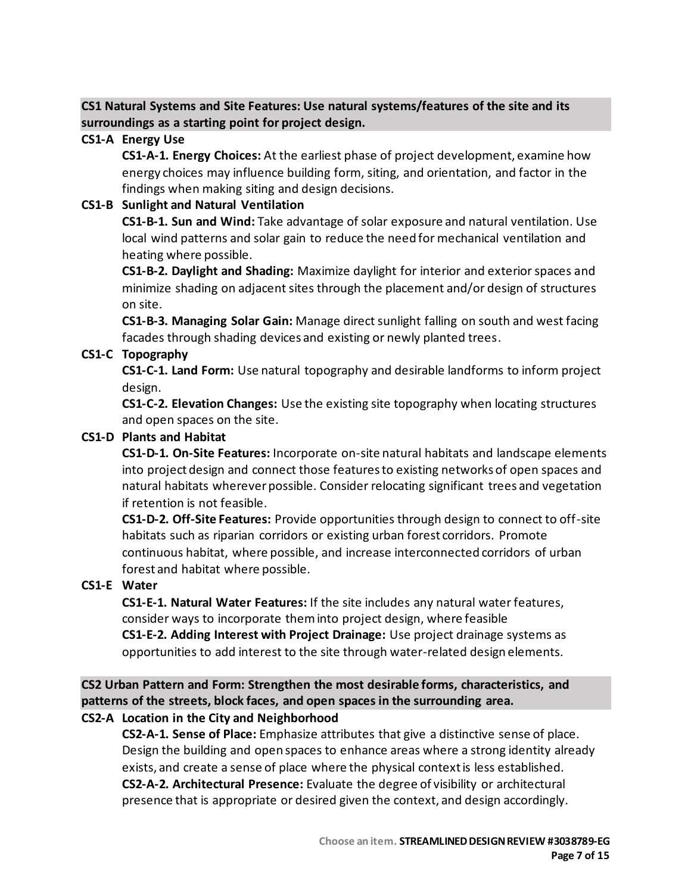## **CS1 Natural Systems and Site Features: Use natural systems/features of the site and its surroundings as a starting point for project design.**

### **CS1-A Energy Use**

**CS1-A-1. Energy Choices:** At the earliest phase of project development, examine how energy choices may influence building form, siting, and orientation, and factor in the findings when making siting and design decisions.

## **CS1-B Sunlight and Natural Ventilation**

**CS1-B-1. Sun and Wind:** Take advantage of solar exposure and natural ventilation. Use local wind patterns and solar gain to reduce the need for mechanical ventilation and heating where possible.

**CS1-B-2. Daylight and Shading:** Maximize daylight for interior and exterior spaces and minimize shading on adjacent sites through the placement and/or design of structures on site.

**CS1-B-3. Managing Solar Gain:** Manage direct sunlight falling on south and west facing facades through shading devices and existing or newly planted trees.

## **CS1-C Topography**

**CS1-C-1. Land Form:** Use natural topography and desirable landforms to inform project design.

**CS1-C-2. Elevation Changes:** Use the existing site topography when locating structures and open spaces on the site.

## **CS1-D Plants and Habitat**

**CS1-D-1. On-Site Features:** Incorporate on-site natural habitats and landscape elements into project design and connect those features to existing networks of open spaces and natural habitats wherever possible. Consider relocating significant trees and vegetation if retention is not feasible.

**CS1-D-2. Off-Site Features:** Provide opportunities through design to connect to off-site habitats such as riparian corridors or existing urban forest corridors. Promote continuous habitat, where possible, and increase interconnected corridors of urban forest and habitat where possible.

### **CS1-E Water**

**CS1-E-1. Natural Water Features:** If the site includes any natural water features, consider ways to incorporate them into project design, where feasible **CS1-E-2. Adding Interest with Project Drainage:** Use project drainage systems as opportunities to add interest to the site through water-related design elements.

**CS2 Urban Pattern and Form: Strengthen the most desirable forms, characteristics, and patterns of the streets, block faces, and open spaces in the surrounding area.**

### **CS2-A Location in the City and Neighborhood**

**CS2-A-1. Sense of Place:** Emphasize attributes that give a distinctive sense of place. Design the building and open spaces to enhance areas where a strong identity already exists, and create a sense of place where the physical context is less established. **CS2-A-2. Architectural Presence:** Evaluate the degree of visibility or architectural presence that is appropriate or desired given the context, and design accordingly.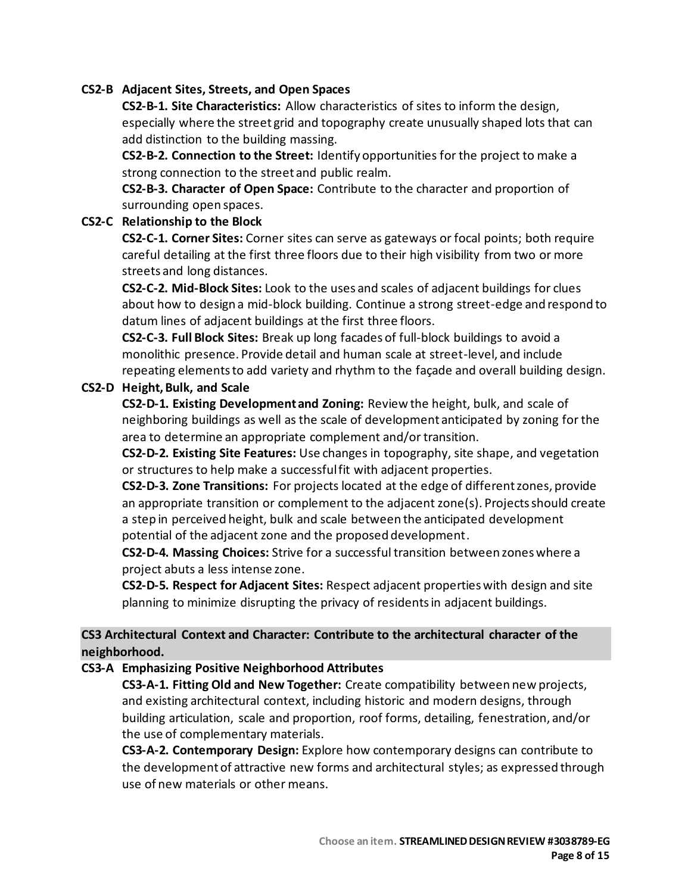#### **CS2-B Adjacent Sites, Streets, and Open Spaces**

**CS2-B-1. Site Characteristics:** Allow characteristics of sites to inform the design, especially where the street grid and topography create unusually shaped lots that can add distinction to the building massing.

**CS2-B-2. Connection to the Street:** Identify opportunities for the project to make a strong connection to the street and public realm.

**CS2-B-3. Character of Open Space:** Contribute to the character and proportion of surrounding open spaces.

#### **CS2-C Relationship to the Block**

**CS2-C-1. Corner Sites:** Corner sites can serve as gateways or focal points; both require careful detailing at the first three floors due to their high visibility from two or more streets and long distances.

**CS2-C-2. Mid-Block Sites:** Look to the uses and scales of adjacent buildings for clues about how to design a mid-block building. Continue a strong street-edge and respond to datum lines of adjacent buildings at the first three floors.

**CS2-C-3. Full Block Sites:** Break up long facades of full-block buildings to avoid a monolithic presence. Provide detail and human scale at street-level, and include repeating elements to add variety and rhythm to the façade and overall building design.

#### **CS2-D Height, Bulk, and Scale**

**CS2-D-1. Existing Development and Zoning:** Review the height, bulk, and scale of neighboring buildings as well as the scale of development anticipated by zoning for the area to determine an appropriate complement and/or transition.

**CS2-D-2. Existing Site Features:** Use changes in topography, site shape, and vegetation or structures to help make a successful fit with adjacent properties.

**CS2-D-3. Zone Transitions:** For projects located at the edge of different zones, provide an appropriate transition or complement to the adjacent zone(s). Projects should create a step in perceived height, bulk and scale between the anticipated development potential of the adjacent zone and the proposed development.

**CS2-D-4. Massing Choices:** Strive for a successful transition between zones where a project abuts a less intense zone.

**CS2-D-5. Respect for Adjacent Sites:** Respect adjacent properties with design and site planning to minimize disrupting the privacy of residents in adjacent buildings.

## **CS3 Architectural Context and Character: Contribute to the architectural character of the neighborhood.**

**CS3-A Emphasizing Positive Neighborhood Attributes**

**CS3-A-1. Fitting Old and New Together:** Create compatibility between new projects, and existing architectural context, including historic and modern designs, through building articulation, scale and proportion, roof forms, detailing, fenestration, and/or the use of complementary materials.

**CS3-A-2. Contemporary Design:** Explore how contemporary designs can contribute to the development of attractive new forms and architectural styles; as expressed through use of new materials or other means.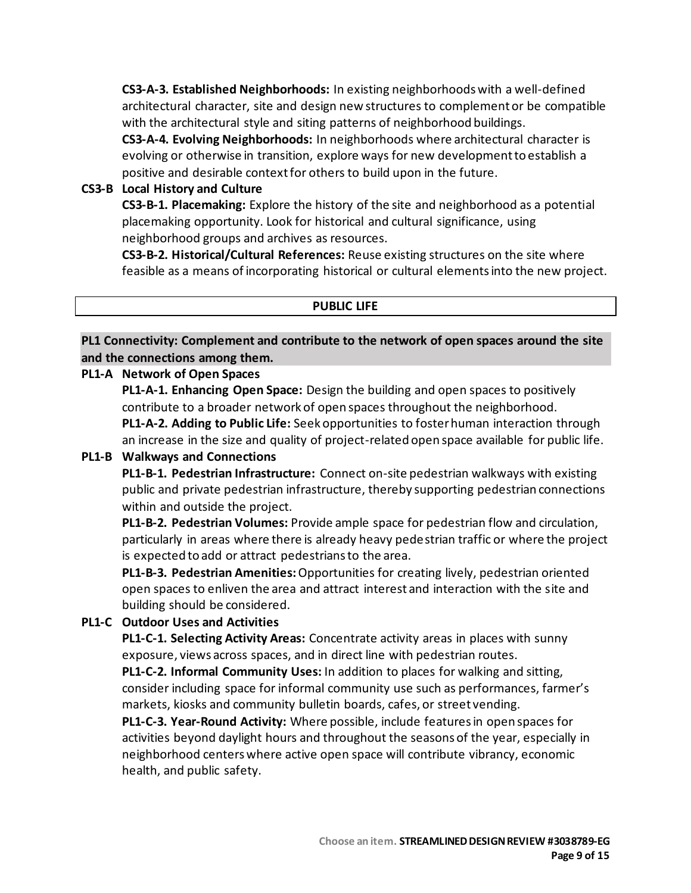**CS3-A-3. Established Neighborhoods:** In existing neighborhoods with a well-defined architectural character, site and design new structures to complement or be compatible with the architectural style and siting patterns of neighborhood buildings.

**CS3-A-4. Evolving Neighborhoods:** In neighborhoods where architectural character is evolving or otherwise in transition, explore ways for new development to establish a positive and desirable context for others to build upon in the future.

### **CS3-B Local History and Culture**

**CS3-B-1. Placemaking:** Explore the history of the site and neighborhood as a potential placemaking opportunity. Look for historical and cultural significance, using neighborhood groups and archives as resources.

**CS3-B-2. Historical/Cultural References:** Reuse existing structures on the site where feasible as a means of incorporating historical or cultural elements into the new project.

#### **PUBLIC LIFE**

**PL1 Connectivity: Complement and contribute to the network of open spaces around the site and the connections among them.**

#### **PL1-A Network of Open Spaces**

**PL1-A-1. Enhancing Open Space:** Design the building and open spaces to positively contribute to a broader network of open spaces throughout the neighborhood. **PL1-A-2. Adding to Public Life:** Seek opportunities to foster human interaction through an increase in the size and quality of project-related open space available for public life.

### **PL1-B Walkways and Connections**

**PL1-B-1. Pedestrian Infrastructure:** Connect on-site pedestrian walkways with existing public and private pedestrian infrastructure, thereby supporting pedestrian connections within and outside the project.

**PL1-B-2. Pedestrian Volumes:** Provide ample space for pedestrian flow and circulation, particularly in areas where there is already heavy pedestrian traffic or where the project is expected to add or attract pedestrians to the area.

**PL1-B-3. Pedestrian Amenities:**Opportunities for creating lively, pedestrian oriented open spaces to enliven the area and attract interest and interaction with the site and building should be considered.

### **PL1-C Outdoor Uses and Activities**

**PL1-C-1. Selecting Activity Areas:** Concentrate activity areas in places with sunny exposure, views across spaces, and in direct line with pedestrian routes.

**PL1-C-2. Informal Community Uses:** In addition to places for walking and sitting, consider including space for informal community use such as performances, farmer's markets, kiosks and community bulletin boards, cafes, or street vending.

**PL1-C-3. Year-Round Activity:** Where possible, include features in open spaces for activities beyond daylight hours and throughout the seasons of the year, especially in neighborhood centers where active open space will contribute vibrancy, economic health, and public safety.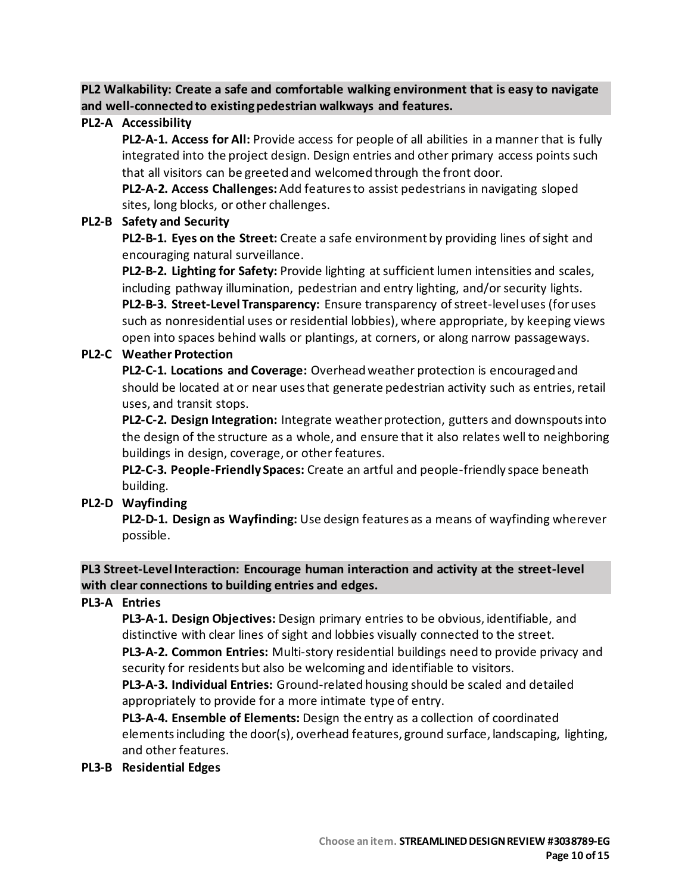**PL2 Walkability: Create a safe and comfortable walking environment that is easy to navigate and well-connected to existing pedestrian walkways and features.**

#### **PL2-A Accessibility**

**PL2-A-1. Access for All:** Provide access for people of all abilities in a manner that is fully integrated into the project design. Design entries and other primary access points such that all visitors can be greeted and welcomed through the front door.

**PL2-A-2. Access Challenges:**Add features to assist pedestrians in navigating sloped sites, long blocks, or other challenges.

#### **PL2-B Safety and Security**

**PL2-B-1. Eyes on the Street:** Create a safe environment by providing lines of sight and encouraging natural surveillance.

**PL2-B-2. Lighting for Safety:** Provide lighting at sufficient lumen intensities and scales, including pathway illumination, pedestrian and entry lighting, and/or security lights. **PL2-B-3. Street-Level Transparency:** Ensure transparency of street-level uses (for uses such as nonresidential uses or residential lobbies), where appropriate, by keeping views open into spaces behind walls or plantings, at corners, or along narrow passageways.

#### **PL2-C Weather Protection**

**PL2-C-1. Locations and Coverage:** Overhead weather protection is encouraged and should be located at or near uses that generate pedestrian activity such as entries, retail uses, and transit stops.

**PL2-C-2. Design Integration:** Integrate weather protection, gutters and downspouts into the design of the structure as a whole, and ensure that it also relates well to neighboring buildings in design, coverage, or other features.

**PL2-C-3. People-Friendly Spaces:** Create an artful and people-friendly space beneath building.

### **PL2-D Wayfinding**

**PL2-D-1. Design as Wayfinding:** Use design features as a means of wayfinding wherever possible.

**PL3 Street-Level Interaction: Encourage human interaction and activity at the street-level with clear connections to building entries and edges.**

### **PL3-A Entries**

**PL3-A-1. Design Objectives:** Design primary entries to be obvious, identifiable, and distinctive with clear lines of sight and lobbies visually connected to the street.

**PL3-A-2. Common Entries:** Multi-story residential buildings need to provide privacy and security for residents but also be welcoming and identifiable to visitors.

**PL3-A-3. Individual Entries:** Ground-related housing should be scaled and detailed appropriately to provide for a more intimate type of entry.

**PL3-A-4. Ensemble of Elements:** Design the entry as a collection of coordinated elementsincluding the door(s), overhead features, ground surface, landscaping, lighting, and other features.

#### **PL3-B Residential Edges**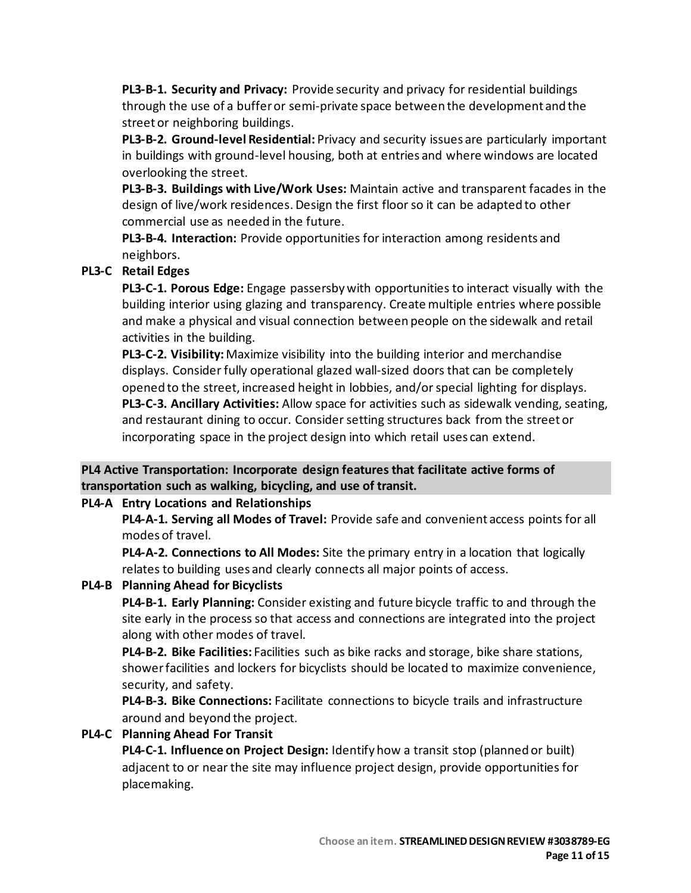**PL3-B-1. Security and Privacy:** Provide security and privacy for residential buildings through the use of a buffer or semi-private space between the development and the street or neighboring buildings.

**PL3-B-2. Ground-level Residential:** Privacy and security issues are particularly important in buildings with ground-level housing, both at entries and where windows are located overlooking the street.

**PL3-B-3. Buildings with Live/Work Uses:** Maintain active and transparent facades in the design of live/work residences. Design the first floor so it can be adapted to other commercial use as needed in the future.

**PL3-B-4. Interaction:** Provide opportunities for interaction among residents and neighbors.

## **PL3-C Retail Edges**

**PL3-C-1. Porous Edge:** Engage passersby with opportunities to interact visually with the building interior using glazing and transparency. Create multiple entries where possible and make a physical and visual connection between people on the sidewalk and retail activities in the building.

**PL3-C-2. Visibility:**Maximize visibility into the building interior and merchandise displays. Consider fully operational glazed wall-sized doors that can be completely opened to the street, increased height in lobbies, and/or special lighting for displays. **PL3-C-3. Ancillary Activities:** Allow space for activities such as sidewalk vending, seating, and restaurant dining to occur. Consider setting structures back from the street or incorporating space in the project design into which retail uses can extend.

### **PL4 Active Transportation: Incorporate design features that facilitate active forms of transportation such as walking, bicycling, and use of transit.**

### **PL4-A Entry Locations and Relationships**

**PL4-A-1. Serving all Modes of Travel:** Provide safe and convenient access points for all modes of travel.

**PL4-A-2. Connections to All Modes:** Site the primary entry in a location that logically relates to building uses and clearly connects all major points of access.

### **PL4-B Planning Ahead for Bicyclists**

**PL4-B-1. Early Planning:** Consider existing and future bicycle traffic to and through the site early in the process so that access and connections are integrated into the project along with other modes of travel.

**PL4-B-2. Bike Facilities:** Facilities such as bike racks and storage, bike share stations, showerfacilities and lockers for bicyclists should be located to maximize convenience, security, and safety.

**PL4-B-3. Bike Connections:** Facilitate connections to bicycle trails and infrastructure around and beyond the project.

### **PL4-C Planning Ahead For Transit**

**PL4-C-1. Influence on Project Design:** Identify how a transit stop (planned or built) adjacent to or near the site may influence project design, provide opportunities for placemaking.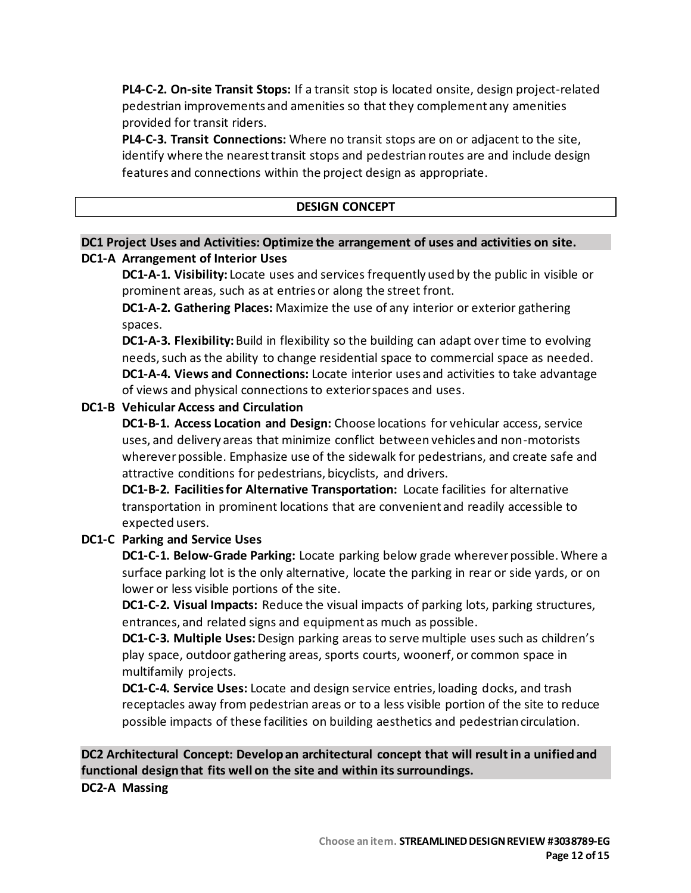**PL4-C-2. On-site Transit Stops:** If a transit stop is located onsite, design project-related pedestrian improvements and amenities so that they complement any amenities provided for transit riders.

**PL4-C-3. Transit Connections:** Where no transit stops are on or adjacent to the site, identify where the nearest transit stops and pedestrian routes are and include design features and connections within the project design as appropriate.

#### **DESIGN CONCEPT**

### **DC1 Project Uses and Activities: Optimize the arrangement of uses and activities on site. DC1-A Arrangement of Interior Uses**

**DC1-A-1. Visibility:** Locate uses and services frequently used by the public in visible or prominent areas, such as at entries or along the street front.

**DC1-A-2. Gathering Places:** Maximize the use of any interior or exterior gathering spaces.

**DC1-A-3. Flexibility:**Build in flexibility so the building can adapt over time to evolving needs, such as the ability to change residential space to commercial space as needed. **DC1-A-4. Views and Connections:** Locate interior uses and activities to take advantage of views and physical connections to exterior spaces and uses.

#### **DC1-B Vehicular Access and Circulation**

**DC1-B-1. Access Location and Design:** Choose locations for vehicular access, service uses, and delivery areas that minimize conflict between vehicles and non-motorists wherever possible. Emphasize use of the sidewalk for pedestrians, and create safe and attractive conditions for pedestrians, bicyclists, and drivers.

**DC1-B-2. Facilities for Alternative Transportation:** Locate facilities for alternative transportation in prominent locations that are convenient and readily accessible to expected users.

### **DC1-C Parking and Service Uses**

**DC1-C-1. Below-Grade Parking:** Locate parking below grade wherever possible. Where a surface parking lot is the only alternative, locate the parking in rear or side yards, or on lower or less visible portions of the site.

**DC1-C-2. Visual Impacts:** Reduce the visual impacts of parking lots, parking structures, entrances, and related signs and equipment as much as possible.

**DC1-C-3. Multiple Uses:** Design parking areas to serve multiple uses such as children's play space, outdoor gathering areas, sports courts, woonerf, or common space in multifamily projects.

**DC1-C-4. Service Uses:** Locate and design service entries, loading docks, and trash receptacles away from pedestrian areas or to a less visible portion of the site to reduce possible impacts of these facilities on building aesthetics and pedestrian circulation.

## **DC2 Architectural Concept: Develop an architectural concept that will result in a unified and functional design that fits well on the site and within its surroundings.**

**DC2-A Massing**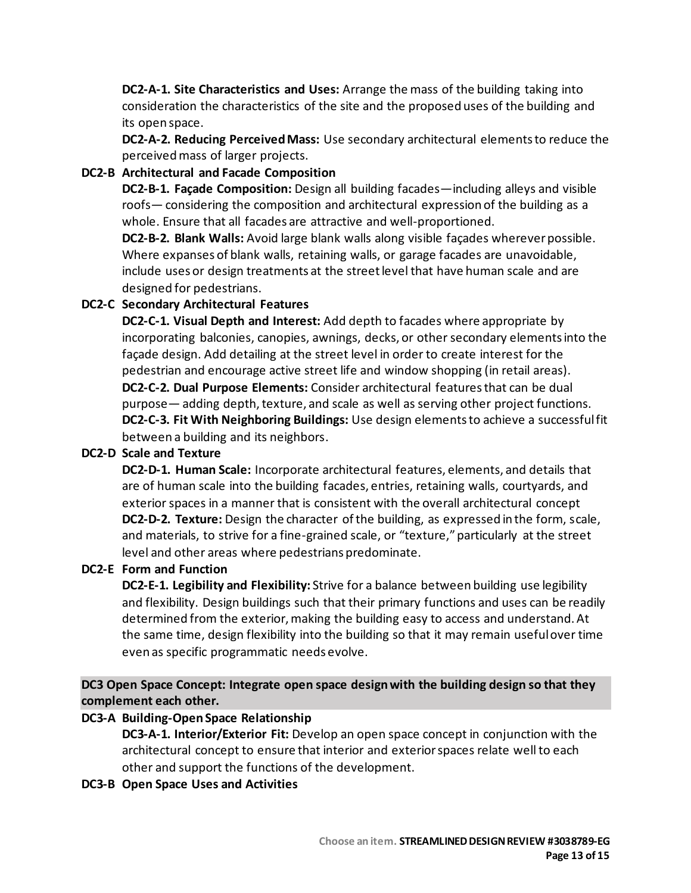**DC2-A-1. Site Characteristics and Uses:** Arrange the mass of the building taking into consideration the characteristics of the site and the proposed uses of the building and its open space.

**DC2-A-2. Reducing Perceived Mass:** Use secondary architectural elements to reduce the perceived mass of larger projects.

### **DC2-B Architectural and Facade Composition**

**DC2-B-1. Façade Composition:** Design all building facades—including alleys and visible roofs— considering the composition and architectural expression of the building as a whole. Ensure that all facades are attractive and well-proportioned.

**DC2-B-2. Blank Walls:** Avoid large blank walls along visible façades wherever possible. Where expanses of blank walls, retaining walls, or garage facades are unavoidable, include uses or design treatments at the street level that have human scale and are designed for pedestrians.

## **DC2-C Secondary Architectural Features**

**DC2-C-1. Visual Depth and Interest:** Add depth to facades where appropriate by incorporating balconies, canopies, awnings, decks, or other secondary elements into the façade design. Add detailing at the street level in order to create interest for the pedestrian and encourage active street life and window shopping (in retail areas). **DC2-C-2. Dual Purpose Elements:** Consider architectural features that can be dual purpose— adding depth, texture, and scale as well as serving other project functions. **DC2-C-3. Fit With Neighboring Buildings:** Use design elements to achieve a successful fit between a building and its neighbors.

### **DC2-D Scale and Texture**

**DC2-D-1. Human Scale:** Incorporate architectural features, elements, and details that are of human scale into the building facades, entries, retaining walls, courtyards, and exterior spaces in a manner that is consistent with the overall architectural concept **DC2-D-2. Texture:** Design the character of the building, as expressed in the form, scale, and materials, to strive for a fine-grained scale, or "texture," particularly at the street level and other areas where pedestrians predominate.

### **DC2-E Form and Function**

**DC2-E-1. Legibility and Flexibility:** Strive for a balance between building use legibility and flexibility. Design buildings such that their primary functions and uses can be readily determined from the exterior, making the building easy to access and understand. At the same time, design flexibility into the building so that it may remain useful over time even as specific programmatic needs evolve.

**DC3 Open Space Concept: Integrate open space design with the building design so that they complement each other.**

### **DC3-A Building-Open Space Relationship**

**DC3-A-1. Interior/Exterior Fit:** Develop an open space concept in conjunction with the architectural concept to ensure that interior and exterior spaces relate well to each other and support the functions of the development.

**DC3-B Open Space Uses and Activities**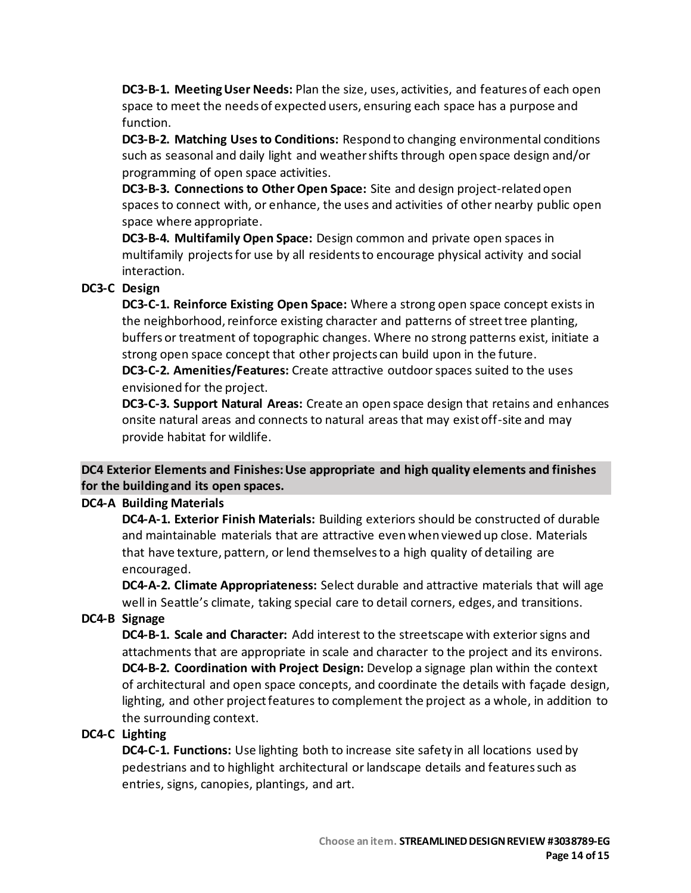**DC3-B-1. Meeting User Needs:** Plan the size, uses, activities, and features of each open space to meet the needs of expected users, ensuring each space has a purpose and function.

**DC3-B-2. Matching Uses to Conditions:** Respond to changing environmental conditions such as seasonal and daily light and weather shifts through open space design and/or programming of open space activities.

**DC3-B-3. Connections to Other Open Space:** Site and design project-related open spaces to connect with, or enhance, the uses and activities of other nearby public open space where appropriate.

**DC3-B-4. Multifamily Open Space:** Design common and private open spaces in multifamily projects for use by all residents to encourage physical activity and social interaction.

## **DC3-C Design**

**DC3-C-1. Reinforce Existing Open Space:** Where a strong open space concept exists in the neighborhood, reinforce existing character and patterns of street tree planting, buffers or treatment of topographic changes. Where no strong patterns exist, initiate a strong open space concept that other projects can build upon in the future.

**DC3-C-2. Amenities/Features:** Create attractive outdoor spaces suited to the uses envisioned for the project.

**DC3-C-3. Support Natural Areas:** Create an open space design that retains and enhances onsite natural areas and connects to natural areas that may exist off-site and may provide habitat for wildlife.

## **DC4 Exterior Elements and Finishes: Use appropriate and high quality elements and finishes for the building and its open spaces.**

### **DC4-A Building Materials**

**DC4-A-1. Exterior Finish Materials:** Building exteriors should be constructed of durable and maintainable materials that are attractive even when viewed up close. Materials that have texture, pattern, or lend themselves to a high quality of detailing are encouraged.

**DC4-A-2. Climate Appropriateness:** Select durable and attractive materials that will age well in Seattle's climate, taking special care to detail corners, edges, and transitions.

## **DC4-B Signage**

**DC4-B-1. Scale and Character:** Add interest to the streetscape with exterior signs and attachments that are appropriate in scale and character to the project and its environs. **DC4-B-2. Coordination with Project Design:** Develop a signage plan within the context of architectural and open space concepts, and coordinate the details with façade design, lighting, and other project features to complement the project as a whole, in addition to the surrounding context.

### **DC4-C Lighting**

**DC4-C-1. Functions:** Use lighting both to increase site safety in all locations used by pedestrians and to highlight architectural or landscape details and features such as entries, signs, canopies, plantings, and art.